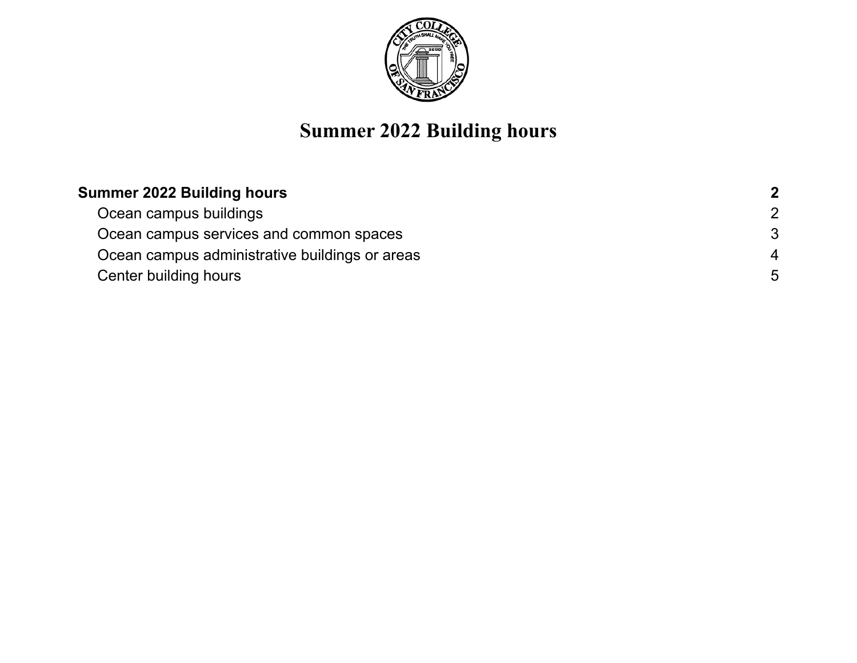

# **Summer 2022 Building hours**

| <b>Summer 2022 Building hours</b>              | $\overline{2}$ |
|------------------------------------------------|----------------|
| Ocean campus buildings                         | $\overline{2}$ |
| Ocean campus services and common spaces        | -3             |
| Ocean campus administrative buildings or areas | 4              |
| Center building hours                          | 5              |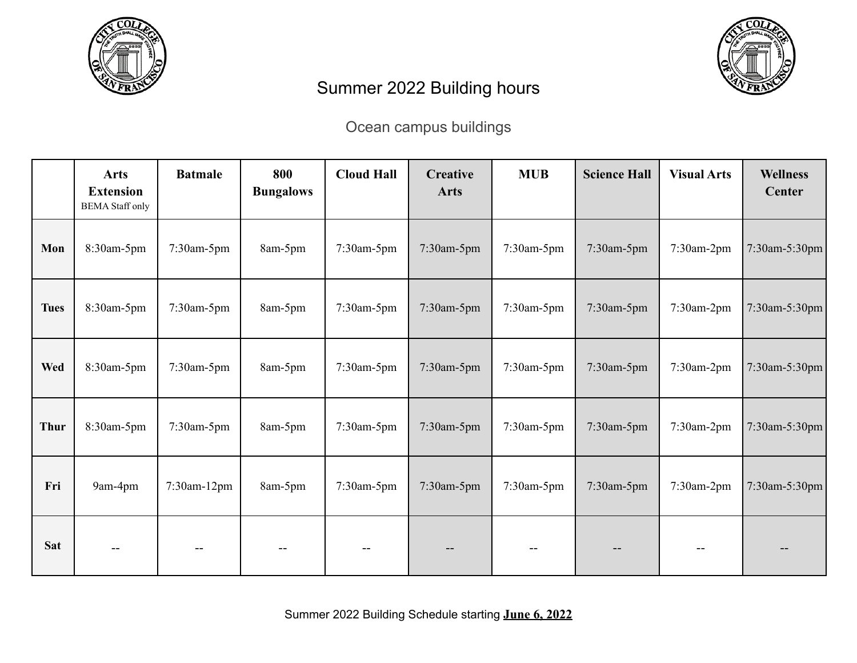<span id="page-1-0"></span>



## Summer 2022 Building hours

#### Ocean campus buildings

<span id="page-1-1"></span>

|             | <b>Arts</b><br><b>Extension</b><br><b>BEMA</b> Staff only | <b>Batmale</b> | 800<br><b>Bungalows</b> | <b>Cloud Hall</b> | Creative<br><b>Arts</b> | <b>MUB</b> | <b>Science Hall</b> | <b>Visual Arts</b> | <b>Wellness</b><br><b>Center</b> |
|-------------|-----------------------------------------------------------|----------------|-------------------------|-------------------|-------------------------|------------|---------------------|--------------------|----------------------------------|
| Mon         | 8:30am-5pm                                                | 7:30am-5pm     | 8am-5pm                 | 7:30am-5pm        | 7:30am-5pm              | 7:30am-5pm | 7:30am-5pm          | 7:30am-2pm         | 7:30am-5:30pm                    |
| <b>Tues</b> | 8:30am-5pm                                                | 7:30am-5pm     | 8am-5pm                 | 7:30am-5pm        | 7:30am-5pm              | 7:30am-5pm | 7:30am-5pm          | 7:30am-2pm         | 7:30am-5:30pm                    |
| <b>Wed</b>  | 8:30am-5pm                                                | 7:30am-5pm     | 8am-5pm                 | 7:30am-5pm        | 7:30am-5pm              | 7:30am-5pm | 7:30am-5pm          | 7:30am-2pm         | 7:30am-5:30pm                    |
| <b>Thur</b> | 8:30am-5pm                                                | 7:30am-5pm     | 8am-5pm                 | $7:30$ am- $5$ pm | 7:30am-5pm              | 7:30am-5pm | 7:30am-5pm          | 7:30am-2pm         | 7:30am-5:30pm                    |
| Fri         | 9am-4pm                                                   | 7:30am-12pm    | 8am-5pm                 | $7:30$ am- $5$ pm | 7:30am-5pm              | 7:30am-5pm | 7:30am-5pm          | 7:30am-2pm         | 7:30am-5:30pm                    |
| <b>Sat</b>  |                                                           |                |                         | --                |                         |            |                     |                    |                                  |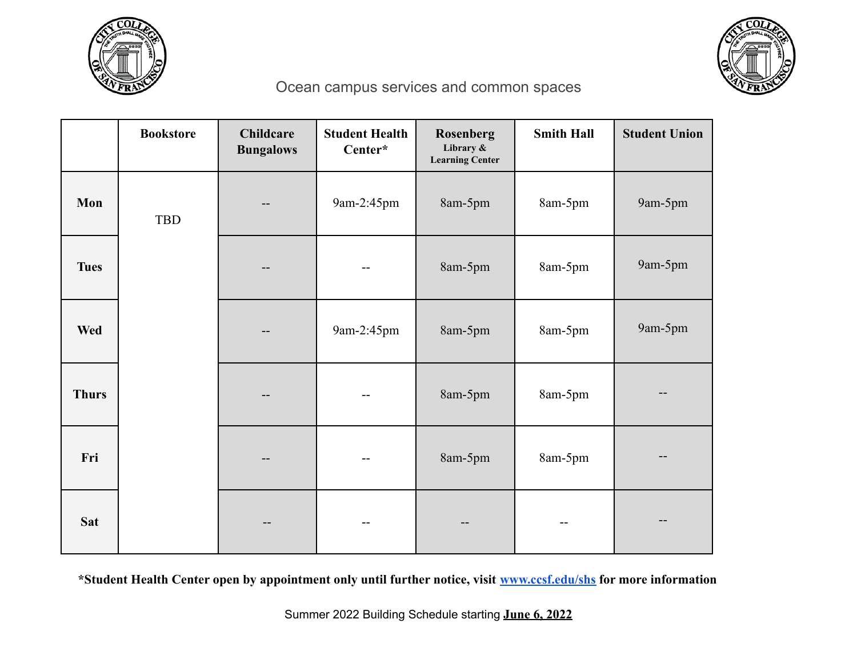



### Ocean campus services and common spaces

<span id="page-2-0"></span>

|              | <b>Bookstore</b> | <b>Childcare</b><br><b>Bungalows</b> | <b>Student Health</b><br>Center* | Rosenberg<br>Library &<br><b>Learning Center</b> | <b>Smith Hall</b> | <b>Student Union</b> |
|--------------|------------------|--------------------------------------|----------------------------------|--------------------------------------------------|-------------------|----------------------|
| Mon          | <b>TBD</b>       |                                      | 9am-2:45pm                       | 8am-5pm                                          | 8am-5pm           | 9am-5pm              |
| <b>Tues</b>  |                  |                                      | --                               | 8am-5pm                                          | 8am-5pm           | 9am-5pm              |
| Wed          |                  |                                      | 9am-2:45pm                       | 8am-5pm                                          | 8am-5pm           | 9am-5pm              |
| <b>Thurs</b> |                  |                                      | $-$                              | 8am-5pm                                          | 8am-5pm           |                      |
| Fri          |                  | $ -$                                 | --                               | 8am-5pm                                          | 8am-5pm           |                      |
| <b>Sat</b>   |                  |                                      | --                               |                                                  |                   |                      |

**\*Student Health Center open by appointment only until further notice, visit [www.ccsf.edu/shs](http://www.ccsf.edu/shs) for more information**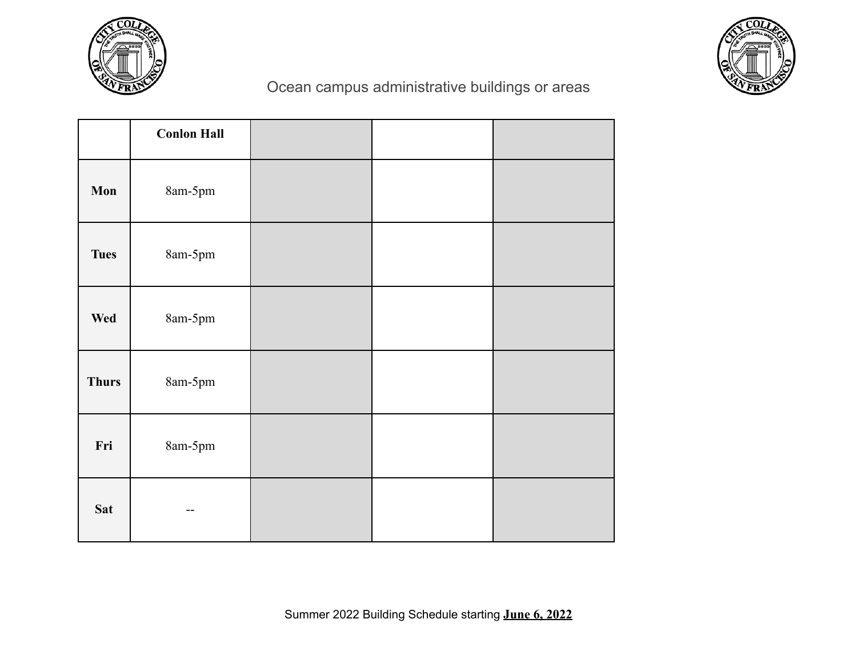



#### Ocean campus administrative buildings or areas

<span id="page-3-0"></span>

|              | <b>Conlon Hall</b> |  |  |
|--------------|--------------------|--|--|
| Mon          | 8am-5pm            |  |  |
| <b>Tues</b>  | 8am-5pm            |  |  |
| Wed          | 8am-5pm            |  |  |
| <b>Thurs</b> | 8am-5pm            |  |  |
| Fri          | $8$ am-5pm         |  |  |
| <b>Sat</b>   |                    |  |  |